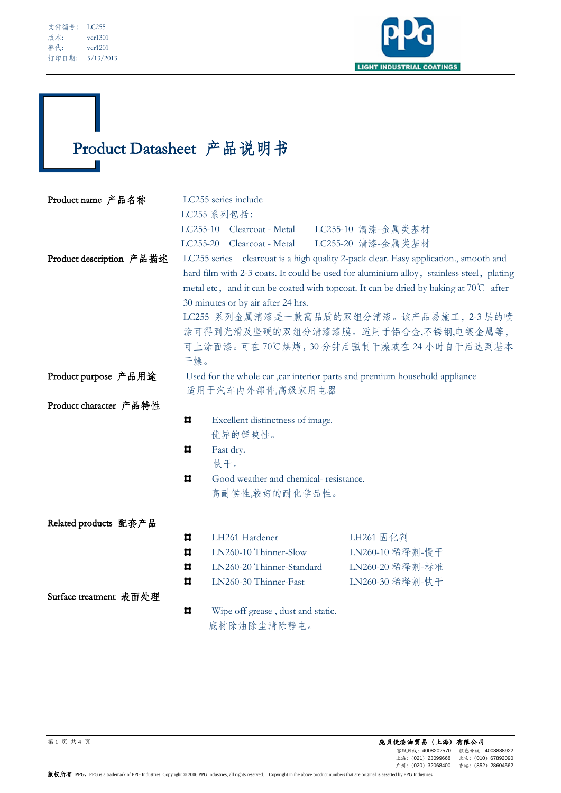I



# Product Datasheet 产品说明书  $\mathbb{R}^2$

| Product name 产品名称        | LC255 series include<br>LC255 系列包括:                                                                                                                                               |                                       |                                              |  |  |  |
|--------------------------|-----------------------------------------------------------------------------------------------------------------------------------------------------------------------------------|---------------------------------------|----------------------------------------------|--|--|--|
|                          |                                                                                                                                                                                   |                                       |                                              |  |  |  |
|                          |                                                                                                                                                                                   |                                       | LC255-10 Clearcoat - Metal LC255-10 清漆-金属类基材 |  |  |  |
|                          |                                                                                                                                                                                   | LC255-20 Clearcoat - Metal            | LC255-20 清漆-金属类基材                            |  |  |  |
| Product description 产品描述 | LC255 series clearcoat is a high quality 2-pack clear. Easy application., smooth and                                                                                              |                                       |                                              |  |  |  |
|                          | hard film with 2-3 coats. It could be used for aluminium alloy, stainless steel, plating<br>metal etc, and it can be coated with topcoat. It can be dried by baking at 70°C after |                                       |                                              |  |  |  |
|                          |                                                                                                                                                                                   |                                       |                                              |  |  |  |
|                          | 30 minutes or by air after 24 hrs.                                                                                                                                                |                                       |                                              |  |  |  |
|                          | LC255 系列金属清漆是一款高品质的双组分清漆。该产品易施工, 2-3 层的喷<br>涂可得到光滑及坚硬的双组分清漆漆膜。适用于铝合金,不锈钢,电镀金属等,                                                                                                   |                                       |                                              |  |  |  |
|                          |                                                                                                                                                                                   |                                       |                                              |  |  |  |
|                          | 可上涂面漆。可在70℃烘烤,30分钟后强制干燥或在24小时自干后达到基本                                                                                                                                              |                                       |                                              |  |  |  |
|                          | 干燥。                                                                                                                                                                               |                                       |                                              |  |  |  |
| Product purpose 产品用途     | Used for the whole car ,car interior parts and premium household appliance<br>适用于汽车内外部件,高级家用电器                                                                                    |                                       |                                              |  |  |  |
|                          |                                                                                                                                                                                   |                                       |                                              |  |  |  |
| Product character 产品特性   |                                                                                                                                                                                   |                                       |                                              |  |  |  |
|                          | ᄇ                                                                                                                                                                                 | Excellent distinctness of image.      |                                              |  |  |  |
|                          |                                                                                                                                                                                   | 优异的鲜映性。                               |                                              |  |  |  |
|                          | ᄇ                                                                                                                                                                                 | Fast dry.                             |                                              |  |  |  |
|                          |                                                                                                                                                                                   | 快干。                                   |                                              |  |  |  |
|                          | Ħ                                                                                                                                                                                 | Good weather and chemical-resistance. |                                              |  |  |  |
|                          |                                                                                                                                                                                   | 高耐候性,较好的耐化学品性。                        |                                              |  |  |  |
| Related products 配套产品    |                                                                                                                                                                                   |                                       |                                              |  |  |  |
|                          | ᄇ                                                                                                                                                                                 | LH261 Hardener                        | LH261 固化剂                                    |  |  |  |
|                          | Ħ                                                                                                                                                                                 | LN260-10 Thinner-Slow                 | LN260-10 稀释剂-慢干                              |  |  |  |
|                          | ᄇ                                                                                                                                                                                 | LN260-20 Thinner-Standard             | LN260-20 稀释剂-标准                              |  |  |  |
|                          | Ħ                                                                                                                                                                                 | LN260-30 Thinner-Fast                 | LN260-30 稀释剂-快干                              |  |  |  |
| Surface treatment 表面处理   |                                                                                                                                                                                   |                                       |                                              |  |  |  |
|                          | ᄇ<br>Wipe off grease, dust and static.                                                                                                                                            |                                       |                                              |  |  |  |
|                          |                                                                                                                                                                                   | 底材除油除尘清除静电。                           |                                              |  |  |  |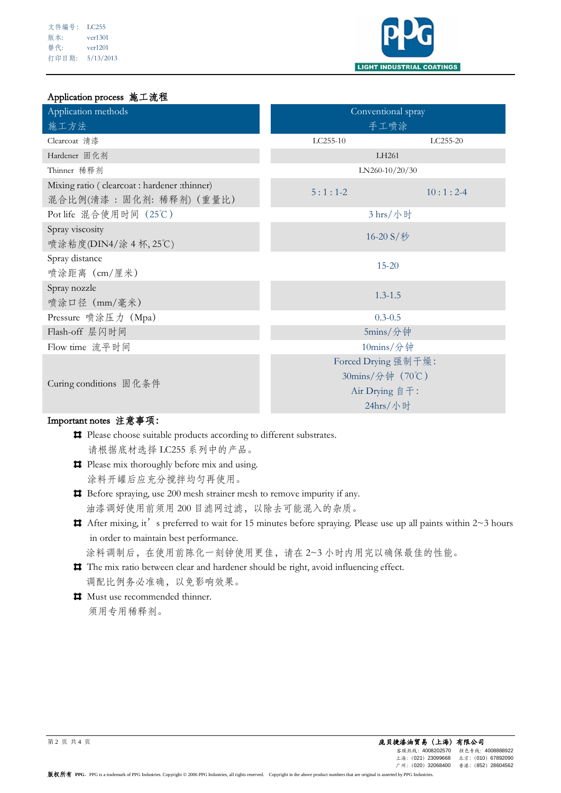| 文件编号: | LC255     |
|-------|-----------|
| 版本:   | ver1301   |
| 替代:   | ver1201   |
| 打印日期: | 5/13/2013 |



#### Application process 施工流程

| Application methods                                                    | Conventional spray  |            |  |
|------------------------------------------------------------------------|---------------------|------------|--|
| 施工方法                                                                   | 手工喷涂                |            |  |
| Clearcoat 清漆                                                           | LC255-10            | LC255-20   |  |
| Hardener 固化剂                                                           | LH261               |            |  |
| Thinner 稀释剂                                                            | LN260-10/20/30      |            |  |
| Mixing ratio (clearcoat : hardener : thinner)<br>混合比例(清漆:固化剂:稀释剂)(重量比) | $5:1:1-2$           | $10:1:2-4$ |  |
| Pot life 混合使用时间 (25℃)                                                  | 3 hrs/小时            |            |  |
| Spray viscosity<br>喷涂粘度(DIN4/涂 4 杯, 25℃)                               | 16-20 S/秒           |            |  |
| Spray distance<br>喷涂距离 (cm/厘米)                                         | $15 - 20$           |            |  |
| Spray nozzle<br>喷涂口径 (mm/毫米)                                           | $1.3 - 1.5$         |            |  |
| Pressure 喷涂压力 (Mpa)                                                    | $0.3 - 0.5$         |            |  |
| Flash-off 层闪时间                                                         | 5mins/分钟            |            |  |
| Flow time 流平时间                                                         | 10mins/分钟           |            |  |
|                                                                        | Forced Drying 强制干燥: |            |  |
| Curing conditions 固化条件                                                 | 30mins/分钟 (70℃)     |            |  |
|                                                                        | Air Drying 自干:      |            |  |
|                                                                        | 24hrs/小时            |            |  |

### Important notes 注意事项:

- **#** Please choose suitable products according to different substrates. 请根据底材选择 LC255 系列中的产品。
- **Please mix thoroughly before mix and using.** 涂料开罐后应充分搅拌均匀再使用。

Before spraying, use 200 mesh strainer mesh to remove impurity if any. 油漆调好使用前须用 200 目滤网过滤,以除去可能混入的杂质。

- $\sharp$  After mixing, it's preferred to wait for 15 minutes before spraying. Please use up all paints within 2~3 hours in order to maintain best performance. 涂料调制后,在使用前陈化一刻钟使用更佳,请在 2~3 小时内用完以确保最佳的性能。
- The mix ratio between clear and hardener should be right, avoid influencing effect. 调配比例务必准确,以免影响效果。
- $\blacksquare$  Must use recommended thinner. 须用专用稀释剂。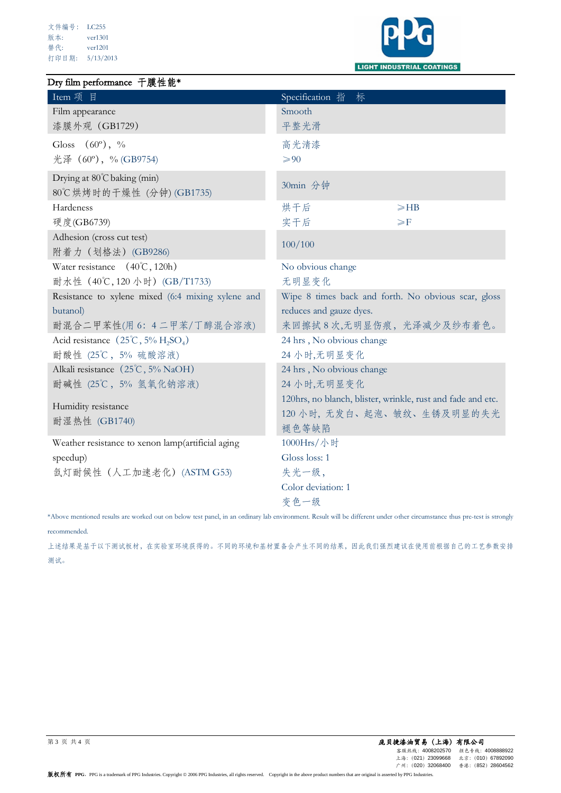#### Dry film performance 干膜性能\*



| Item 项 目                                                           | Specification 指<br>标                                        |           |  |
|--------------------------------------------------------------------|-------------------------------------------------------------|-----------|--|
| Film appearance                                                    | Smooth                                                      |           |  |
| 漆膜外观 (GB1729)                                                      | 平整光滑                                                        |           |  |
| Gloss $(60^{\circ})$ , %                                           | 高光清漆                                                        |           |  |
| 光泽 (60°), % (GB9754)                                               | $\geqslant 90$                                              |           |  |
| Drying at 80°C baking (min)                                        |                                                             |           |  |
| 80℃烘烤时的干燥性 (分钟) (GB1735)                                           | 30min 分钟                                                    |           |  |
| Hardeness                                                          | 烘干后                                                         | $\geq$ HB |  |
| 硬度(GB6739)                                                         | 实干后<br>$\geq F$                                             |           |  |
| Adhesion (cross cut test)                                          | 100/100                                                     |           |  |
| 附着力 (划格法) (GB9286)                                                 |                                                             |           |  |
| Water resistance $(40^{\circ}\text{C}, 120\text{h})$               | No obvious change                                           |           |  |
| 耐水性 (40℃, 120 小时) (GB/T1733)                                       | 无明显变化                                                       |           |  |
| Resistance to xylene mixed (6:4 mixing xylene and                  | Wipe 8 times back and forth. No obvious scar, gloss         |           |  |
| butanol)                                                           | reduces and gauze dyes.                                     |           |  |
| 耐混合二甲苯性(用 6: 4 二甲苯/丁醇混合溶液)                                         | 来回擦拭8次,无明显伤痕,光泽减少及纱布着色。                                     |           |  |
| Acid resistance $(25^{\circ}\text{C}, 5\% \text{ H}_2\text{SO}_4)$ | 24 hrs, No obvious change                                   |           |  |
| 耐酸性 (25℃, 5% 硫酸溶液)                                                 | 24 小时,无明显变化                                                 |           |  |
| Alkali resistance (25°C, 5% NaOH)                                  | 24 hrs, No obvious change                                   |           |  |
| 耐碱性 (25℃, 5% 氢氧化钠溶液)                                               | 24 小时,无明显变化                                                 |           |  |
| Humidity resistance                                                | 120hrs, no blanch, blister, wrinkle, rust and fade and etc. |           |  |
| 耐湿热性 (GB1740)                                                      | 120 小时,无发白、起泡、皱纹、生锈及明显的失光                                   |           |  |
|                                                                    | 褪色等缺陷                                                       |           |  |
| Weather resistance to xenon lamp(artificial aging                  | 1000Hrs/小时                                                  |           |  |
| speedup)                                                           | Gloss loss: 1                                               |           |  |
| 氙灯耐候性 (人工加速老化) (ASTM G53)                                          | 失光一级,                                                       |           |  |
|                                                                    | Color deviation: 1                                          |           |  |
|                                                                    | 变色一级                                                        |           |  |

\*Above mentioned results are worked out on below test panel, in an ordinary lab environment. Result will be different under other circumstance thus pre-test is strongly recommended.

上述结果是基于以下测试板材,在实验室环境获得的。不同的环境和基材置备会产生不同的结果,因此我们强烈建议在使用前根据自己的工艺参数安排 测试。

## 第 3 页 共 4 页 庞贝捷漆油贸易(上海)有限公司